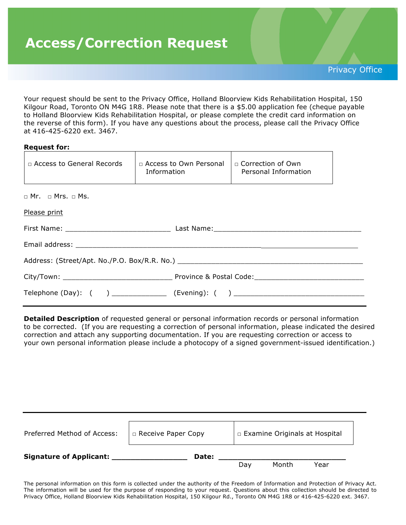# **Access/Correction Request**

Privacy Office

Your request should be sent to the Privacy Office, Holland Bloorview Kids Rehabilitation Hospital, 150 Kilgour Road, Toronto ON M4G 1R8. Please note that there is a \$5.00 application fee (cheque payable to Holland Bloorview Kids Rehabilitation Hospital, or please complete the credit card information on the reverse of this form). If you have any questions about the process, please call the Privacy Office at 416-425-6220 ext. 3467.

| <b>Request for:</b>                                                              |                                                |                                                                                  |  |  |
|----------------------------------------------------------------------------------|------------------------------------------------|----------------------------------------------------------------------------------|--|--|
| □ Access to General Records                                                      | □ Access to Own Personal<br><b>Information</b> | $\Box$ Correction of Own<br>Personal Information                                 |  |  |
| $\Box$ Mr. $\Box$ Mrs. $\Box$ Ms.                                                |                                                |                                                                                  |  |  |
| Please print                                                                     |                                                |                                                                                  |  |  |
|                                                                                  |                                                |                                                                                  |  |  |
|                                                                                  |                                                |                                                                                  |  |  |
| Address: (Street/Apt. No./P.O. Box/R.R. No.) ___________________________________ |                                                |                                                                                  |  |  |
|                                                                                  |                                                |                                                                                  |  |  |
|                                                                                  |                                                | Telephone (Day): ( ) _______________ (Evening): ( ) ____________________________ |  |  |

**Detailed Description** of requested general or personal information records or personal information to be corrected. (If you are requesting a correction of personal information, please indicated the desired correction and attach any supporting documentation. If you are requesting correction or access to your own personal information please include a photocopy of a signed government-issued identification.)

| Preferred Method of Access:    | $\Box$ Receive Paper Copy | □ Examine Originals at Hospital |       |      |
|--------------------------------|---------------------------|---------------------------------|-------|------|
| <b>Signature of Applicant:</b> | Date:                     | Dav                             | Month | Year |

The personal information on this form is collected under the authority of the Freedom of Information and Protection of Privacy Act. The information will be used for the purpose of responding to your request. Questions about this collection should be directed to Privacy Office, Holland Bloorview Kids Rehabilitation Hospital, 150 Kilgour Rd., Toronto ON M4G 1R8 or 416-425-6220 ext. 3467.